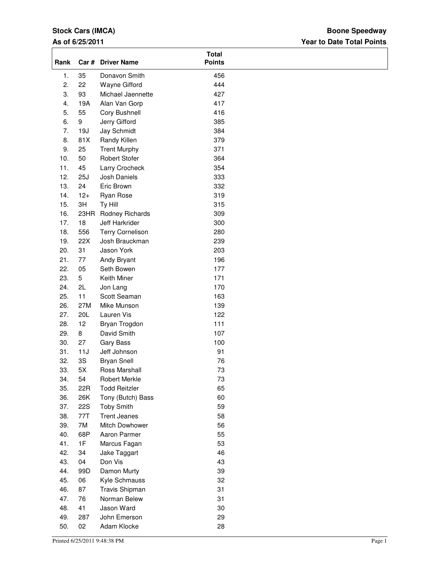## **Stock Cars (IMCA)**

### **As of 6/25/2011**

### **Year to Date Total Points Boone Speedway**

| Rank       |            | Car # Driver Name        | <b>Total</b><br><b>Points</b> |  |
|------------|------------|--------------------------|-------------------------------|--|
| 1.         | 35         | Donavon Smith            | 456                           |  |
| 2.         | 22         | Wayne Gifford            | 444                           |  |
| 3.         | 93         | Michael Jaennette        | 427                           |  |
| 4.         | 19A        | Alan Van Gorp            | 417                           |  |
| 5.         | 55         | Cory Bushnell            | 416                           |  |
| 6.         | 9          | Jerry Gifford            | 385                           |  |
| 7.         | 19J        | Jay Schmidt              | 384                           |  |
| 8.         | 81X        | Randy Killen             | 379                           |  |
| 9.         | 25         | <b>Trent Murphy</b>      | 371                           |  |
| 10.        | 50         | <b>Robert Stofer</b>     | 364                           |  |
| 11.        | 45         | Larry Crocheck           | 354                           |  |
| 12.        | 25J        | Josh Daniels             | 333                           |  |
| 13.        | 24         | Eric Brown               | 332                           |  |
| 14.        | $12+$      | Ryan Rose                | 319                           |  |
| 15.        | 3H         | Ty Hill                  | 315                           |  |
| 16.        | 23HR       | Rodney Richards          | 309                           |  |
| 17.        | 18         | Jeff Harkrider           | 300                           |  |
| 18.        | 556        | <b>Terry Cornelison</b>  | 280                           |  |
| 19.        | 22X        | Josh Brauckman           | 239                           |  |
| 20.        | 31         | Jason York               | 203                           |  |
| 21.        | 77         | Andy Bryant              | 196                           |  |
| 22.        | 05         | Seth Bowen               | 177                           |  |
| 23.<br>24. | 5<br>2L    | Keith Miner              | 171<br>170                    |  |
| 25.        | 11         | Jon Lang<br>Scott Seaman | 163                           |  |
| 26.        | 27M        | Mike Munson              | 139                           |  |
| 27.        | 20L        | Lauren Vis               | 122                           |  |
| 28.        | 12         | Bryan Trogdon            | 111                           |  |
| 29.        | 8          | David Smith              | 107                           |  |
| 30.        | 27         | <b>Gary Bass</b>         | 100                           |  |
| 31.        | 11J        | Jeff Johnson             | 91                            |  |
| 32.        | 3S         | <b>Bryan Snell</b>       | 76                            |  |
| 33.        | 5X         | Ross Marshall            | 73                            |  |
| 34.        | 54         | Robert Merkle            | 73                            |  |
| 35.        | 22R        | <b>Todd Reitzler</b>     | 65                            |  |
| 36.        | 26K        | Tony (Butch) Bass        | 60                            |  |
| 37.        | <b>22S</b> | <b>Toby Smith</b>        | 59                            |  |
| 38.        | 77T        | <b>Trent Jeanes</b>      | 58                            |  |
| 39.        | 7M         | Mitch Dowhower           | 56                            |  |
| 40.        | 68P        | Aaron Parmer             | 55                            |  |
| 41.        | 1F         | Marcus Fagan             | 53                            |  |
| 42.        | 34         | Jake Taggart             | 46                            |  |
| 43.        | 04         | Don Vis                  | 43                            |  |
| 44.        | 99D        | Damon Murty              | 39                            |  |
| 45.        | 06         | Kyle Schmauss            | 32                            |  |
| 46.        | 87         | Travis Shipman           | 31                            |  |
| 47.        | 76         | Norman Belew             | 31                            |  |
| 48.        | 41         | Jason Ward               | 30                            |  |
| 49.        | 287        | John Emerson             | 29                            |  |
| 50.        | 02         | Adam Klocke              | 28                            |  |